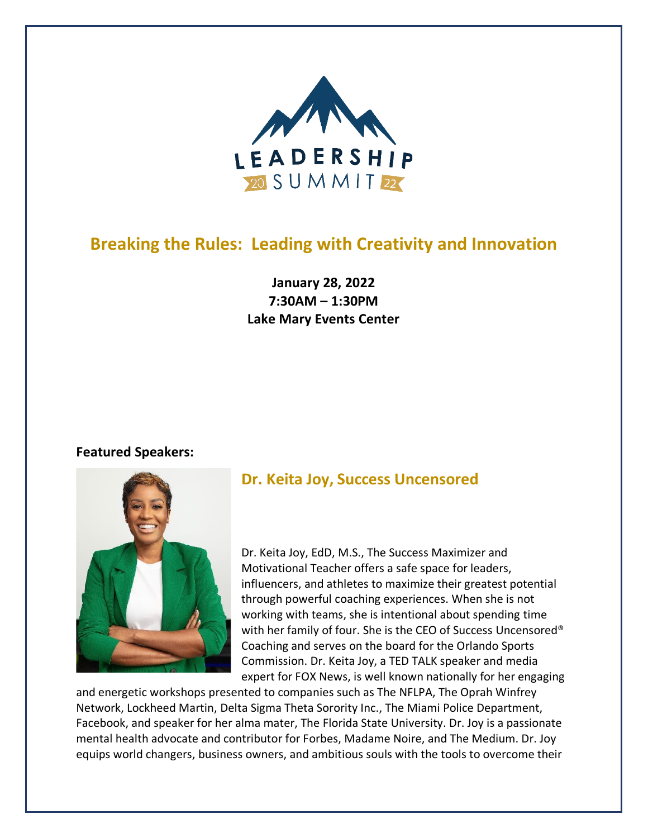

# **Breaking the Rules: Leading with Creativity and Innovation**

**January 28, 2022 7:30AM – 1:30PM Lake Mary Events Center**

### **Featured Speakers:**



### **Dr. Keita Joy, Success Uncensored**

Dr. Keita Joy, EdD, M.S., The Success Maximizer and Motivational Teacher offers a safe space for leaders, influencers, and athletes to maximize their greatest potential through powerful coaching experiences. When she is not working with teams, she is intentional about spending time with her family of four. She is the CEO of Success Uncensored<sup>®</sup> Coaching and serves on the board for the Orlando Sports Commission. Dr. Keita Joy, a TED TALK speaker and media expert for FOX News, is well known nationally for her engaging

and energetic workshops presented to companies such as The NFLPA, The Oprah Winfrey Network, Lockheed Martin, Delta Sigma Theta Sorority Inc., The Miami Police Department, Facebook, and speaker for her alma mater, The Florida State University. Dr. Joy is a passionate mental health advocate and contributor for Forbes, Madame Noire, and The Medium. Dr. Joy equips world changers, business owners, and ambitious souls with the tools to overcome their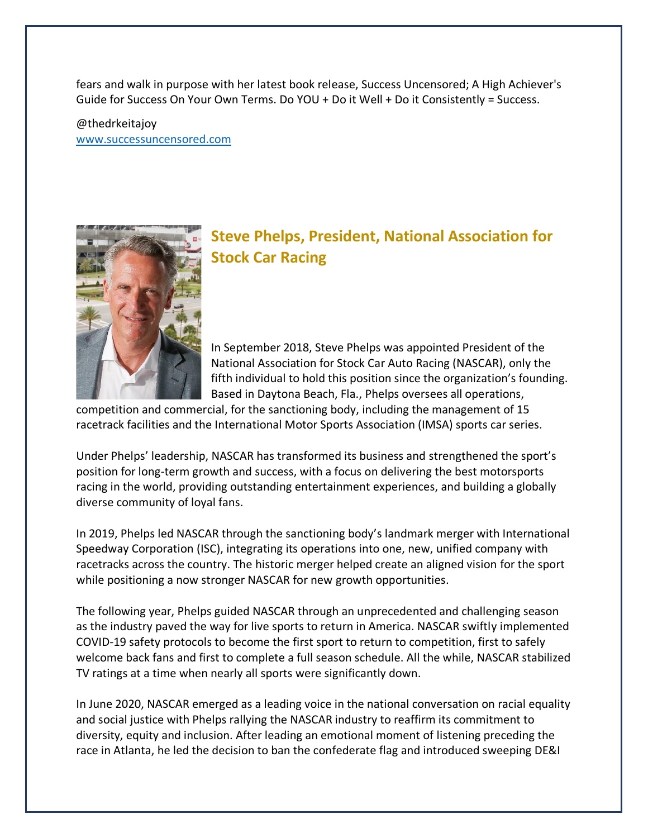fears and walk in purpose with her latest book release, Success Uncensored; A High Achiever's Guide for Success On Your Own Terms. Do YOU + Do it Well + Do it Consistently = Success.

@thedrkeitajoy [www.successuncensored.com](http://www.successuncensored.com/)



## **Steve Phelps, President, National Association for Stock Car Racing**

In September 2018, Steve Phelps was appointed President of the National Association for Stock Car Auto Racing (NASCAR), only the fifth individual to hold this position since the organization's founding. Based in Daytona Beach, Fla., Phelps oversees all operations,

competition and commercial, for the sanctioning body, including the management of 15 racetrack facilities and the International Motor Sports Association (IMSA) sports car series.

Under Phelps' leadership, NASCAR has transformed its business and strengthened the sport's position for long-term growth and success, with a focus on delivering the best motorsports racing in the world, providing outstanding entertainment experiences, and building a globally diverse community of loyal fans.

In 2019, Phelps led NASCAR through the sanctioning body's landmark merger with International Speedway Corporation (ISC), integrating its operations into one, new, unified company with racetracks across the country. The historic merger helped create an aligned vision for the sport while positioning a now stronger NASCAR for new growth opportunities.

The following year, Phelps guided NASCAR through an unprecedented and challenging season as the industry paved the way for live sports to return in America. NASCAR swiftly implemented COVID-19 safety protocols to become the first sport to return to competition, first to safely welcome back fans and first to complete a full season schedule. All the while, NASCAR stabilized TV ratings at a time when nearly all sports were significantly down.

In June 2020, NASCAR emerged as a leading voice in the national conversation on racial equality and social justice with Phelps rallying the NASCAR industry to reaffirm its commitment to diversity, equity and inclusion. After leading an emotional moment of listening preceding the race in Atlanta, he led the decision to ban the confederate flag and introduced sweeping DE&I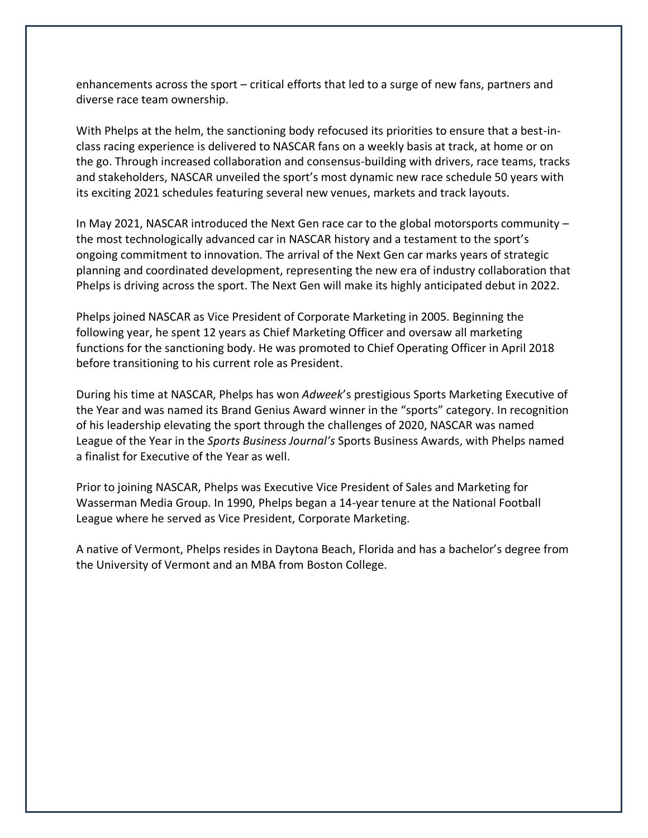enhancements across the sport – critical efforts that led to a surge of new fans, partners and diverse race team ownership.

With Phelps at the helm, the sanctioning body refocused its priorities to ensure that a best-inclass racing experience is delivered to NASCAR fans on a weekly basis at track, at home or on the go. Through increased collaboration and consensus-building with drivers, race teams, tracks and stakeholders, NASCAR unveiled the sport's most dynamic new race schedule 50 years with its exciting 2021 schedules featuring several new venues, markets and track layouts.

In May 2021, NASCAR introduced the Next Gen race car to the global motorsports community – the most technologically advanced car in NASCAR history and a testament to the sport's ongoing commitment to innovation. The arrival of the Next Gen car marks years of strategic planning and coordinated development, representing the new era of industry collaboration that Phelps is driving across the sport. The Next Gen will make its highly anticipated debut in 2022.

Phelps joined NASCAR as Vice President of Corporate Marketing in 2005. Beginning the following year, he spent 12 years as Chief Marketing Officer and oversaw all marketing functions for the sanctioning body. He was promoted to Chief Operating Officer in April 2018 before transitioning to his current role as President.

During his time at NASCAR, Phelps has won *Adweek*'s prestigious Sports Marketing Executive of the Year and was named its Brand Genius Award winner in the "sports" category. In recognition of his leadership elevating the sport through the challenges of 2020, NASCAR was named League of the Year in the *Sports Business Journal's* Sports Business Awards, with Phelps named a finalist for Executive of the Year as well.

Prior to joining NASCAR, Phelps was Executive Vice President of Sales and Marketing for Wasserman Media Group. In 1990, Phelps began a 14-year tenure at the National Football League where he served as Vice President, Corporate Marketing.

A native of Vermont, Phelps resides in Daytona Beach, Florida and has a bachelor's degree from the University of Vermont and an MBA from Boston College.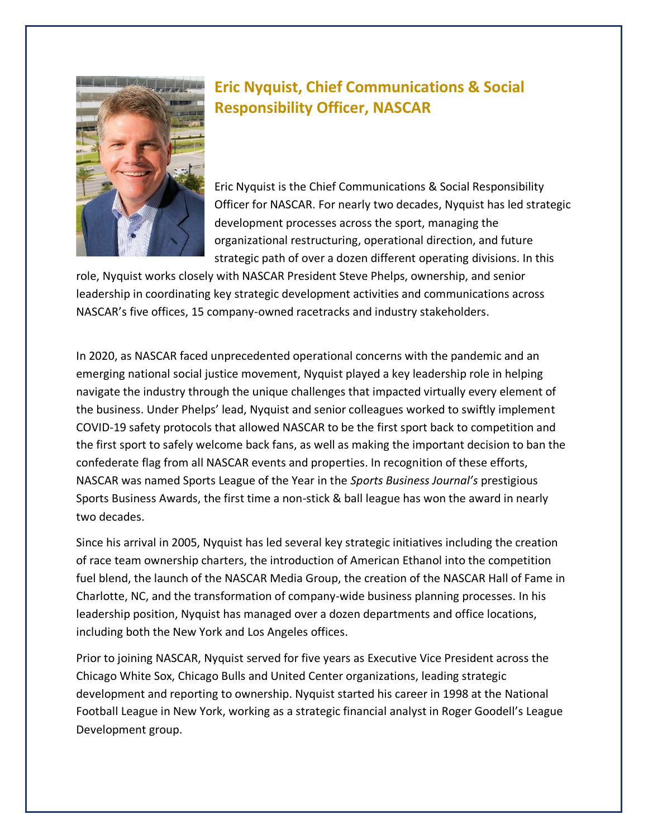

## **Eric Nyquist, Chief Communications & Social Responsibility Officer, NASCAR**

Eric Nyquist is the Chief Communications & Social Responsibility Officer for NASCAR. For nearly two decades, Nyquist has led strategic development processes across the sport, managing the organizational restructuring, operational direction, and future strategic path of over a dozen different operating divisions. In this

role, Nyquist works closely with NASCAR President Steve Phelps, ownership, and senior leadership in coordinating key strategic development activities and communications across NASCAR's five offices, 15 company-owned racetracks and industry stakeholders.

In 2020, as NASCAR faced unprecedented operational concerns with the pandemic and an emerging national social justice movement, Nyquist played a key leadership role in helping navigate the industry through the unique challenges that impacted virtually every element of the business. Under Phelps' lead, Nyquist and senior colleagues worked to swiftly implement COVID-19 safety protocols that allowed NASCAR to be the first sport back to competition and the first sport to safely welcome back fans, as well as making the important decision to ban the confederate flag from all NASCAR events and properties. In recognition of these efforts, NASCAR was named Sports League of the Year in the *Sports Business Journal's* prestigious Sports Business Awards, the first time a non-stick & ball league has won the award in nearly two decades.

Since his arrival in 2005, Nyquist has led several key strategic initiatives including the creation of race team ownership charters, the introduction of American Ethanol into the competition fuel blend, the launch of the NASCAR Media Group, the creation of the NASCAR Hall of Fame in Charlotte, NC, and the transformation of company-wide business planning processes. In his leadership position, Nyquist has managed over a dozen departments and office locations, including both the New York and Los Angeles offices.

Prior to joining NASCAR, Nyquist served for five years as Executive Vice President across the Chicago White Sox, Chicago Bulls and United Center organizations, leading strategic development and reporting to ownership. Nyquist started his career in 1998 at the National Football League in New York, working as a strategic financial analyst in Roger Goodell's League Development group.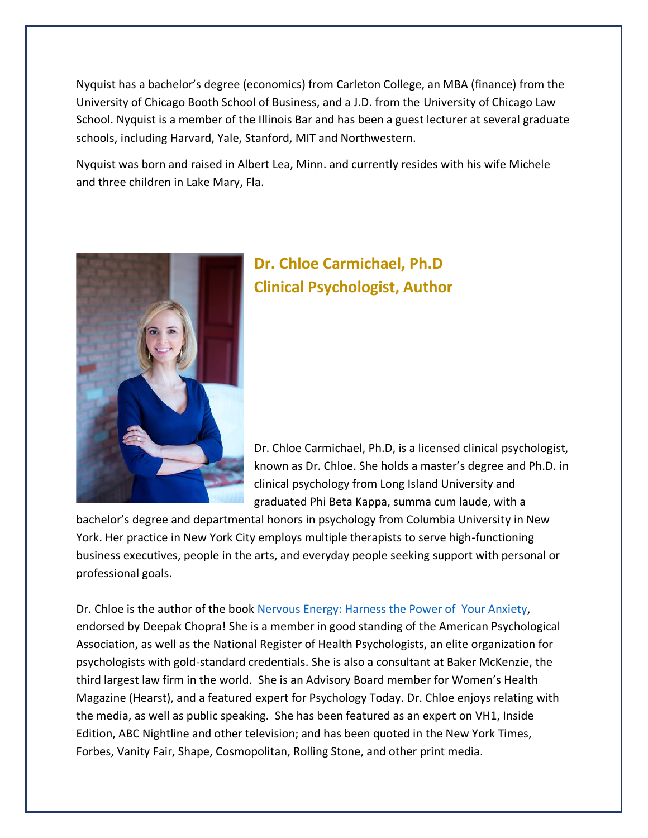Nyquist has a bachelor's degree (economics) from Carleton College, an MBA (finance) from the University of Chicago Booth School of Business, and a J.D. from the University of Chicago Law School. Nyquist is a member of the Illinois Bar and has been a guest lecturer at several graduate schools, including Harvard, Yale, Stanford, MIT and Northwestern.

Nyquist was born and raised in Albert Lea, Minn. and currently resides with his wife Michele and three children in Lake Mary, Fla.



# **Dr. Chloe Carmichael, Ph.D Clinical Psychologist, Author**

Dr. Chloe Carmichael, Ph.D, is a licensed clinical psychologist, known as Dr. Chloe. She holds a master's degree and Ph.D. in clinical psychology from Long Island University and graduated Phi Beta Kappa, summa cum laude, with a

bachelor's degree and departmental honors in psychology from Columbia University in New York. Her practice in New York City employs multiple therapists to serve high-functioning business executives, people in the arts, and everyday people seeking support with personal or professional goals.

Dr. Chloe is the author of the book [Nervous Energy: Harness the Power of Your Anxiety,](http://www.drchloe.com/nervous-energy-book-amazon) endorsed by Deepak Chopra! She is a member in good standing of the American Psychological Association, as well as the National Register of Health Psychologists, an elite organization for psychologists with gold-standard credentials. She is also a consultant at Baker McKenzie, the third largest law firm in the world. She is an Advisory Board member for Women's Health Magazine (Hearst), and a featured expert for Psychology Today. Dr. Chloe enjoys relating with the media, as well as public speaking. She has been featured as an expert on VH1, Inside Edition, ABC Nightline and other television; and has been quoted in the New York Times, Forbes, Vanity Fair, Shape, Cosmopolitan, Rolling Stone, and other print media.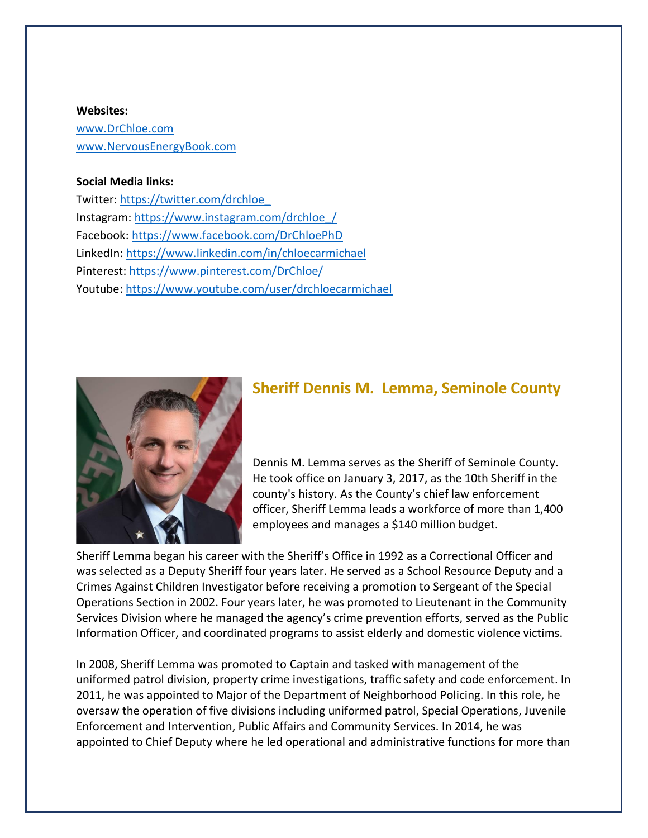#### **Websites:**

[www.DrChloe.com](http://www.drchloe.com/) [www.NervousEnergyBook.com](http://www.nervousenergybook.com/)

#### **Social Media links:**

Twitter: [https://twitter.com/drchloe\\_](https://twitter.com/drchloe_) Instagram: [https://www.instagram.com/drchloe\\_/](https://www.instagram.com/drchloe_/) Facebook:<https://www.facebook.com/DrChloePhD> LinkedIn:<https://www.linkedin.com/in/chloecarmichael> Pinterest:<https://www.pinterest.com/DrChloe/> Youtube:<https://www.youtube.com/user/drchloecarmichael>



### **Sheriff Dennis M. Lemma, Seminole County**

Dennis M. Lemma serves as the Sheriff of Seminole County. He took office on January 3, 2017, as the 10th Sheriff in the county's history. As the County's chief law enforcement officer, Sheriff Lemma leads a workforce of more than 1,400 employees and manages a \$140 million budget.

Sheriff Lemma began his career with the Sheriff's Office in 1992 as a Correctional Officer and was selected as a Deputy Sheriff four years later. He served as a School Resource Deputy and a Crimes Against Children Investigator before receiving a promotion to Sergeant of the Special Operations Section in 2002. Four years later, he was promoted to Lieutenant in the Community Services Division where he managed the agency's crime prevention efforts, served as the Public Information Officer, and coordinated programs to assist elderly and domestic violence victims.

In 2008, Sheriff Lemma was promoted to Captain and tasked with management of the uniformed patrol division, property crime investigations, traffic safety and code enforcement. In 2011, he was appointed to Major of the Department of Neighborhood Policing. In this role, he oversaw the operation of five divisions including uniformed patrol, Special Operations, Juvenile Enforcement and Intervention, Public Affairs and Community Services. In 2014, he was appointed to Chief Deputy where he led operational and administrative functions for more than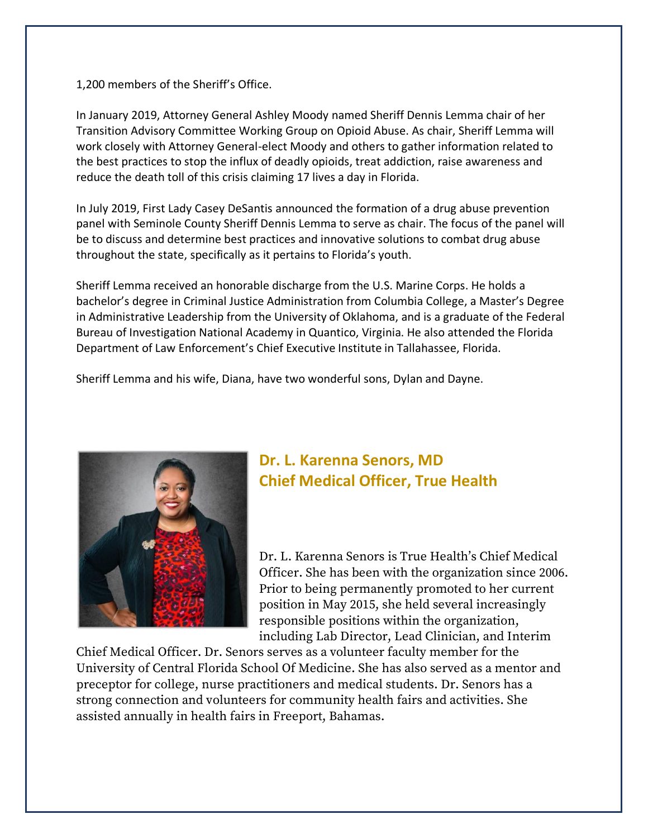1,200 members of the Sheriff's Office.

In January 2019, Attorney General Ashley Moody named Sheriff Dennis Lemma chair of her Transition Advisory Committee Working Group on Opioid Abuse. As chair, Sheriff Lemma will work closely with Attorney General-elect Moody and others to gather information related to the best practices to stop the influx of deadly opioids, treat addiction, raise awareness and reduce the death toll of this crisis claiming 17 lives a day in Florida.

In July 2019, First Lady Casey DeSantis announced the formation of a drug abuse prevention panel with Seminole County Sheriff Dennis Lemma to serve as chair. The focus of the panel will be to discuss and determine best practices and innovative solutions to combat drug abuse throughout the state, specifically as it pertains to Florida's youth.

Sheriff Lemma received an honorable discharge from the U.S. Marine Corps. He holds a bachelor's degree in Criminal Justice Administration from Columbia College, a Master's Degree in Administrative Leadership from the University of Oklahoma, and is a graduate of the Federal Bureau of Investigation National Academy in Quantico, Virginia. He also attended the Florida Department of Law Enforcement's Chief Executive Institute in Tallahassee, Florida.

Sheriff Lemma and his wife, Diana, have two wonderful sons, Dylan and Dayne.



## **Dr. L. Karenna Senors, MD Chief Medical Officer, True Health**

Dr. L. Karenna Senors is True Health's Chief Medical Officer. She has been with the organization since 2006. Prior to being permanently promoted to her current position in May 2015, she held several increasingly responsible positions within the organization, including Lab Director, Lead Clinician, and Interim

Chief Medical Officer. Dr. Senors serves as a volunteer faculty member for the University of Central Florida School Of Medicine. She has also served as a mentor and preceptor for college, nurse practitioners and medical students. Dr. Senors has a strong connection and volunteers for community health fairs and activities. She assisted annually in health fairs in Freeport, Bahamas.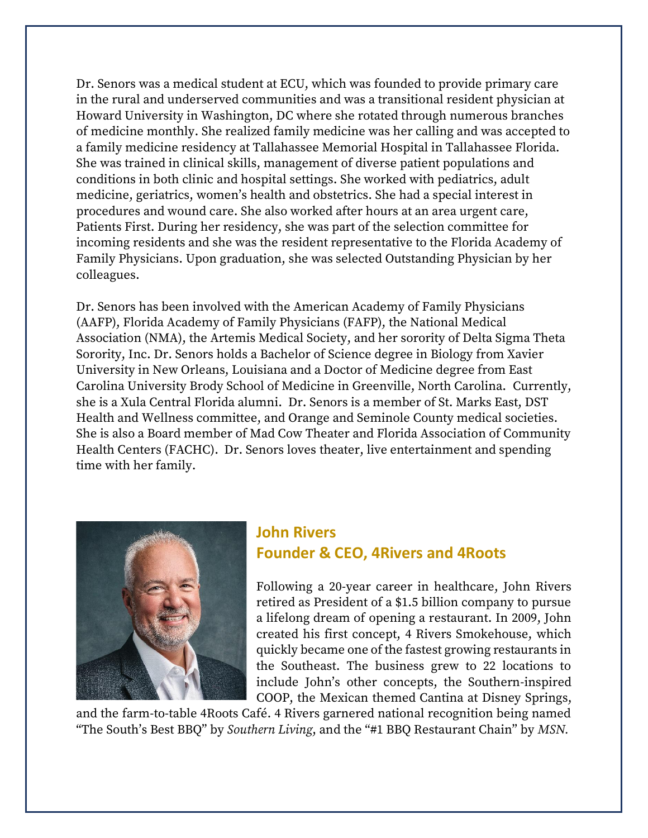Dr. Senors was a medical student at ECU, which was founded to provide primary care in the rural and underserved communities and was a transitional resident physician at Howard University in Washington, DC where she rotated through numerous branches of medicine monthly. She realized family medicine was her calling and was accepted to a family medicine residency at Tallahassee Memorial Hospital in Tallahassee Florida. She was trained in clinical skills, management of diverse patient populations and conditions in both clinic and hospital settings. She worked with pediatrics, adult medicine, geriatrics, women's health and obstetrics. She had a special interest in procedures and wound care. She also worked after hours at an area urgent care, Patients First. During her residency, she was part of the selection committee for incoming residents and she was the resident representative to the Florida Academy of Family Physicians. Upon graduation, she was selected Outstanding Physician by her colleagues.

Dr. Senors has been involved with the American Academy of Family Physicians (AAFP), Florida Academy of Family Physicians (FAFP), the National Medical Association (NMA), the Artemis Medical Society, and her sorority of Delta Sigma Theta Sorority, Inc. Dr. Senors holds a Bachelor of Science degree in Biology from Xavier University in New Orleans, Louisiana and a Doctor of Medicine degree from East Carolina University Brody School of Medicine in Greenville, North Carolina. Currently, she is a Xula Central Florida alumni. Dr. Senors is a member of St. Marks East, DST Health and Wellness committee, and Orange and Seminole County medical societies. She is also a Board member of Mad Cow Theater and Florida Association of Community Health Centers (FACHC). Dr. Senors loves theater, live entertainment and spending time with her family.



## **John Rivers Founder & CEO, 4Rivers and 4Roots**

Following a 20-year career in healthcare, John Rivers retired as President of a \$1.5 billion company to pursue a lifelong dream of opening a restaurant. In 2009, John created his first concept, 4 Rivers Smokehouse, which quickly became one of the fastest growing restaurants in the Southeast. The business grew to 22 locations to include John's other concepts, the Southern-inspired COOP, the Mexican themed Cantina at Disney Springs,

and the farm-to-table 4Roots Café. 4 Rivers garnered national recognition being named "The South's Best BBQ" by *Southern Living*, and the "#1 BBQ Restaurant Chain" by *MSN.*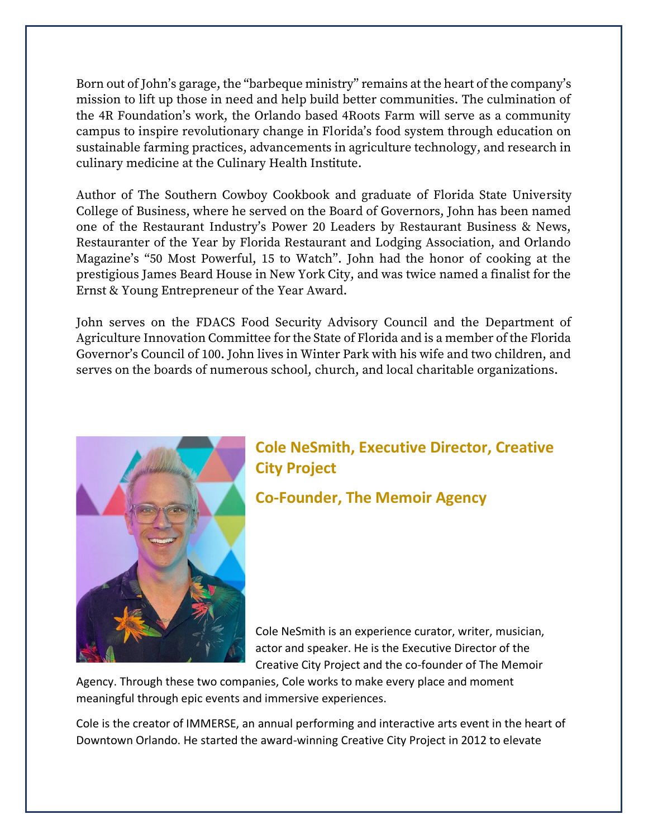Born out of John's garage, the "barbeque ministry" remains at the heart of the company's mission to lift up those in need and help build better communities. The culmination of the 4R Foundation's work, the Orlando based 4Roots Farm will serve as a community campus to inspire revolutionary change in Florida's food system through education on sustainable farming practices, advancements in agriculture technology, and research in culinary medicine at the Culinary Health Institute.

Author of The Southern Cowboy Cookbook and graduate of Florida State University College of Business, where he served on the Board of Governors, John has been named one of the Restaurant Industry's Power 20 Leaders by Restaurant Business & News, Restauranter of the Year by Florida Restaurant and Lodging Association, and Orlando Magazine's "50 Most Powerful, 15 to Watch". John had the honor of cooking at the prestigious James Beard House in New York City, and was twice named a finalist for the Ernst & Young Entrepreneur of the Year Award.

John serves on the FDACS Food Security Advisory Council and the Department of Agriculture Innovation Committee for the State of Florida and is a member of the Florida Governor's Council of 100. John lives in Winter Park with his wife and two children, and serves on the boards of numerous school, church, and local charitable organizations.



# **Cole NeSmith, Executive Director, Creative City Project**

**Co-Founder, The Memoir Agency**

Cole NeSmith is an experience curator, writer, musician, actor and speaker. He is the Executive Director of the Creative City Project and the co-founder of The Memoir

Agency. Through these two companies, Cole works to make every place and moment meaningful through epic events and immersive experiences.

Cole is the creator of IMMERSE, an annual performing and interactive arts event in the heart of Downtown Orlando. He started the award-winning Creative City Project in 2012 to elevate